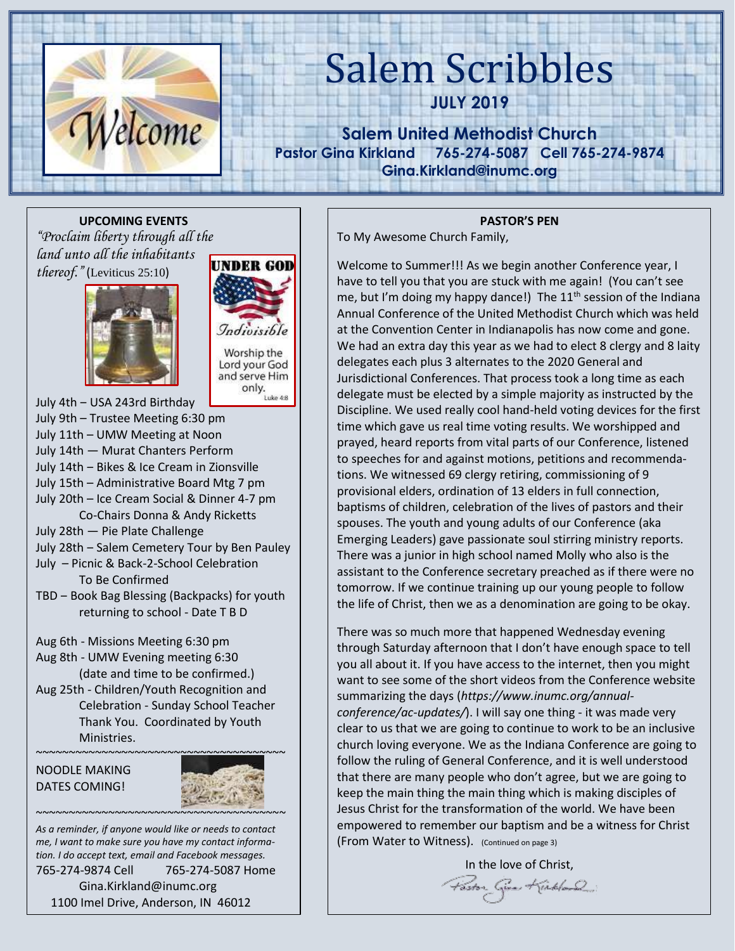

# Salem Scribbles

**JULY 2019**

**Salem United Methodist Church Pastor Gina Kirkland 765-274-5087 Cell 765-274-9874 Gina.Kirkland@inumc.org**

**UPCOMING EVENTS** *"Proclaim liberty through all the land unto all the inhabitants thereof."* (Leviticus 25:10)





Worship the Lord your God and serve Him Serve Him<br>
only.<br>
Luke 4:8

July 4th ‒ USA 243rd Birthday July 9th – Trustee Meeting 6:30 pm July 11th – UMW Meeting at Noon July 14th ― Murat Chanters Perform July 14th ‒ Bikes & Ice Cream in Zionsville July 15th – Administrative Board Mtg 7 pm July 20th – Ice Cream Social & Dinner 4-7 pm Co-Chairs Donna & Andy Ricketts July 28th ― Pie Plate Challenge July 28th - Salem Cemetery Tour by Ben Pauley July – Picnic & Back-2-School Celebration To Be Confirmed TBD ‒ Book Bag Blessing (Backpacks) for youth returning to school - Date T B D Aug 6th - Missions Meeting 6:30 pm Aug 8th - UMW Evening meeting 6:30 (date and time to be confirmed.)

Aug 25th - Children/Youth Recognition and Celebration - Sunday School Teacher Thank You. Coordinated by Youth Ministries.





*As a reminder, if anyone would like or needs to contact me, I want to make sure you have my contact information. I do accept text, email and Facebook messages.*  765-274-9874 Cell 765-274-5087 Home Gina.Kirkland@inumc.org 1100 Imel Drive, Anderson, IN 46012

### **PASTOR'S PEN**

To My Awesome Church Family,

Welcome to Summer!!! As we begin another Conference year, I have to tell you that you are stuck with me again! (You can't see me, but I'm doing my happy dance!) The  $11<sup>th</sup>$  session of the Indiana Annual Conference of the United Methodist Church which was held at the Convention Center in Indianapolis has now come and gone. We had an extra day this year as we had to elect 8 clergy and 8 laity delegates each plus 3 alternates to the 2020 General and Jurisdictional Conferences. That process took a long time as each delegate must be elected by a simple majority as instructed by the Discipline. We used really cool hand-held voting devices for the first time which gave us real time voting results. We worshipped and prayed, heard reports from vital parts of our Conference, listened to speeches for and against motions, petitions and recommendations. We witnessed 69 clergy retiring, commissioning of 9 provisional elders, ordination of 13 elders in full connection, baptisms of children, celebration of the lives of pastors and their spouses. The youth and young adults of our Conference (aka Emerging Leaders) gave passionate soul stirring ministry reports. There was a junior in high school named Molly who also is the assistant to the Conference secretary preached as if there were no tomorrow. If we continue training up our young people to follow the life of Christ, then we as a denomination are going to be okay.

There was so much more that happened Wednesday evening through Saturday afternoon that I don't have enough space to tell you all about it. If you have access to the internet, then you might want to see some of the short videos from the Conference website summarizing the days (*https://www.inumc.org/annualconference/ac-updates/*). I will say one thing - it was made very clear to us that we are going to continue to work to be an inclusive church loving everyone. We as the Indiana Conference are going to follow the ruling of General Conference, and it is well understood that there are many people who don't agree, but we are going to keep the main thing the main thing which is making disciples of Jesus Christ for the transformation of the world. We have been empowered to remember our baptism and be a witness for Christ (From Water to Witness). (Continued on page 3)

> In the love of Christ, Paston Given Kinkland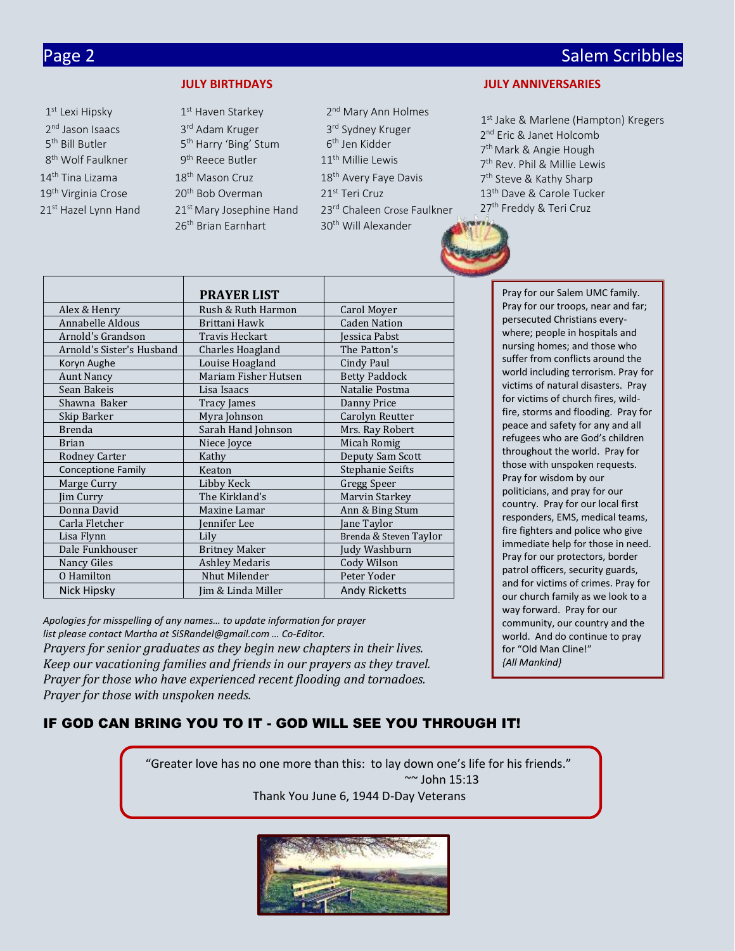# Page 2 Salem Scribbles and Contract Contract Contract Contract Contract Contract Contract Contract Contract Contract Contract Contract Contract Contract Contract Contract Contract Contract Contract Contract Contract Contra

- 1<sup>st</sup> Lexi Hipsky 1 1<sup>st</sup> Haven Starkey 2<sup>nd</sup> Jason Isaacs 3 3<sup>rd</sup> Adam Kruger 5<sup>th</sup> Bill Butler 5 5<sup>th</sup> Harry 'Bing' Stum 8<sup>th</sup> Wolf Faulkner 9  $9<sup>th</sup>$  Reece Butler 11<sup>th</sup> Millie Lewis 14 th Tina Lizama 18 19<sup>th</sup> Virginia Crose 20<sup>th</sup> Bob Overman 21<sup>st</sup> Teri Cruz 26<sup>th</sup> Brian Earnhart 30<sup>th</sup> Will Alexander
- 2<sup>nd</sup> Mary Ann Holmes 3<sup>rd</sup> Sydney Kruger 6<sup>th</sup> Jen Kidder 18<sup>th</sup> Mason Cruz 18<sup>th</sup> Avery Faye Davis  $21<sup>st</sup>$  Hazel Lynn Hand  $21<sup>st</sup>$  Mary Josephine Hand  $23<sup>rd</sup>$  Chaleen Crose Faulkner

#### **JULY BIRTHDAYS JULY ANNIVERSARIES**

1<sup>st</sup> Jake & Marlene (Hampton) Kregers 2<sup>nd</sup> Eric & Janet Holcomb 7<sup>th</sup> Mark & Angie Hough 7 th Rev. Phil & Millie Lewis 7<sup>th</sup> Steve & Kathy Sharp 13<sup>th</sup> Dave & Carole Tucker 27<sup>th</sup> Freddy & Teri Cruz

|                           | <b>PRAYER LIST</b>    |                         | Pray for our Salem UMC family.                                           |
|---------------------------|-----------------------|-------------------------|--------------------------------------------------------------------------|
| Alex & Henry              | Rush & Ruth Harmon    | Carol Moyer             | Pray for our troops, near and far;                                       |
| Annabelle Aldous          | Brittani Hawk         | <b>Caden Nation</b>     | persecuted Christians every-                                             |
| Arnold's Grandson         | Travis Heckart        | Jessica Pabst           | where; people in hospitals and                                           |
| Arnold's Sister's Husband | Charles Hoagland      | The Patton's            | nursing homes; and those who                                             |
| Koryn Aughe               | Louise Hoagland       | Cindy Paul              | suffer from conflicts around the                                         |
| <b>Aunt Nancy</b>         | Mariam Fisher Hutsen  | <b>Betty Paddock</b>    | world including terrorism. Pray fo                                       |
| Sean Bakeis               | Lisa Isaacs           | Natalie Postma          | victims of natural disasters. Pray                                       |
| Shawna Baker              | Tracy James           | Danny Price             | for victims of church fires, wild-                                       |
| Skip Barker               | Myra Johnson          | Carolyn Reutter         | fire, storms and flooding. Pray fo                                       |
| <b>Brenda</b>             | Sarah Hand Johnson    | Mrs. Ray Robert         | peace and safety for any and all                                         |
| <b>Brian</b>              | Niece Joyce           | Micah Romig             | refugees who are God's children                                          |
| <b>Rodney Carter</b>      | Kathy                 | Deputy Sam Scott        | throughout the world. Pray for                                           |
| <b>Conceptione Family</b> | Keaton                | <b>Stephanie Seifts</b> | those with unspoken requests.                                            |
| Marge Curry               | Libby Keck            | Gregg Speer             | Pray for wisdom by our                                                   |
| Jim Curry                 | The Kirkland's        | Marvin Starkey          | politicians, and pray for our                                            |
| Donna David               | Maxine Lamar          | Ann & Bing Stum         | country. Pray for our local first                                        |
| Carla Fletcher            | Jennifer Lee          | Jane Taylor             | responders, EMS, medical teams,                                          |
| Lisa Flynn                | Lily                  | Brenda & Steven Taylor  | fire fighters and police who give                                        |
| Dale Funkhouser           | <b>Britney Maker</b>  | Judy Washburn           | immediate help for those in need                                         |
| Nancy Giles               | <b>Ashley Medaris</b> | Cody Wilson             | Pray for our protectors, border                                          |
| O Hamilton                | Nhut Milender         | Peter Yoder             | patrol officers, security guards,<br>and for victims of crimes. Pray for |
| Nick Hipsky               | Jim & Linda Miller    | Andy Ricketts           | our church family as we look to a                                        |

*Apologies for misspelling of any names… to update information for prayer list please contact Martha at SiSRandel@gmail.com … Co-Editor. Prayers for senior graduates as they begin new chapters in their lives. Keep our vacationing families and friends in our prayers as they travel. Prayer for those who have experienced recent flooding and tornadoes. Prayer for those with unspoken needs.*

### where; people in hospitals and nursing homes; and those who suffer from conflicts around the world including terrorism. Pray for victims of natural disasters. Pray for victims of church fires, wildfire, storms and flooding. Pray for peace and safety for any and all refugees who are God's children throughout the world. Pray for those with unspoken requests. Pray for wisdom by our politicians, and pray for our country. Pray for our local first responders, EMS, medical teams, fire fighters and police who give immediate help for those in need. Pray for our protectors, border patrol officers, security guards, and for victims of crimes. Pray for our church family as we look to a way forward. Pray for our community, our country and the world. And do continue to pray for "Old Man Cline!"

*{All Mankind}*

# IF GOD CAN BRING YOU TO IT - GOD WILL SEE YOU THROUGH IT!

"Greater love has no one more than this: to lay down one's life for his friends." ~~ John 15:13

Thank You June 6, 1944 D-Day Veterans

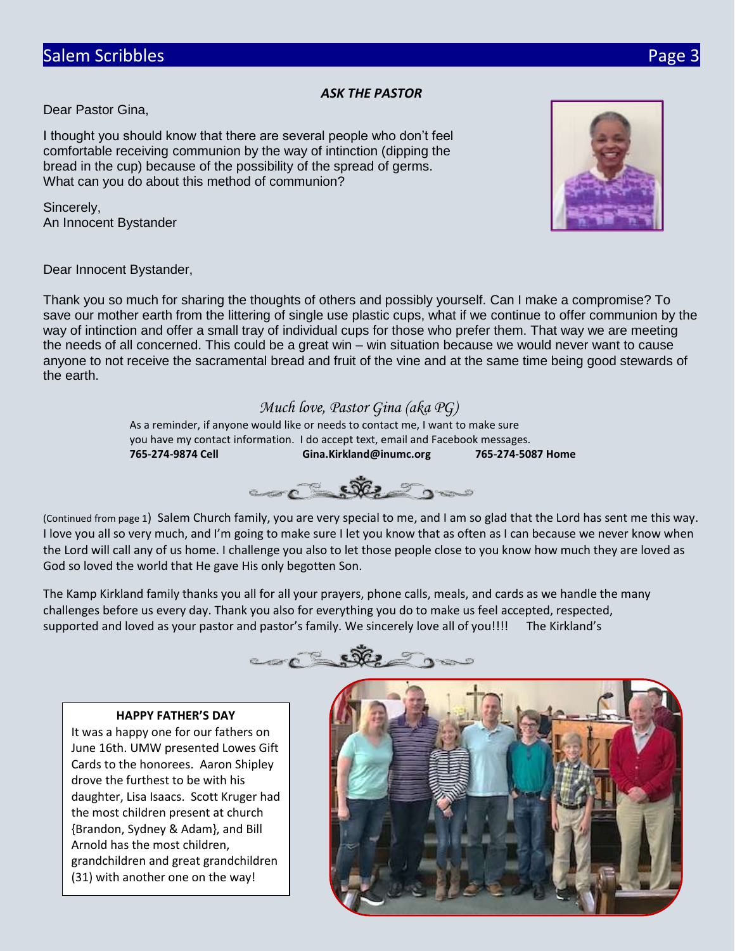# *ASK THE PASTOR*

Dear Pastor Gina,

I thought you should know that there are several people who don't feel comfortable receiving communion by the way of intinction (dipping the bread in the cup) because of the possibility of the spread of germs. What can you do about this method of communion?

Sincerely, An Innocent Bystander



Dear Innocent Bystander,

Thank you so much for sharing the thoughts of others and possibly yourself. Can I make a compromise? To save our mother earth from the littering of single use plastic cups, what if we continue to offer communion by the way of intinction and offer a small tray of individual cups for those who prefer them. That way we are meeting the needs of all concerned. This could be a great win – win situation because we would never want to cause anyone to not receive the sacramental bread and fruit of the vine and at the same time being good stewards of the earth.

# *Much love, Pastor Gina (aka PG)*

As a reminder, if anyone would like or needs to contact me, I want to make sure you have my contact information. I do accept text, email and Facebook messages. **765-274-9874 Cell Gina.Kirkland@inumc.org 765-274-5087 Home**



(Continued from page 1) Salem Church family, you are very special to me, and I am so glad that the Lord has sent me this way. I love you all so very much, and I'm going to make sure I let you know that as often as I can because we never know when the Lord will call any of us home. I challenge you also to let those people close to you know how much they are loved as God so loved the world that He gave His only begotten Son.

The Kamp Kirkland family thanks you all for all your prayers, phone calls, meals, and cards as we handle the many challenges before us every day. Thank you also for everything you do to make us feel accepted, respected, supported and loved as your pastor and pastor's family. We sincerely love all of you!!!! The Kirkland's



## **HAPPY FATHER'S DAY**

It was a happy one for our fathers on June 16th. UMW presented Lowes Gift Cards to the honorees. Aaron Shipley drove the furthest to be with his daughter, Lisa Isaacs. Scott Kruger had the most children present at church {Brandon, Sydney & Adam}, and Bill Arnold has the most children, grandchildren and great grandchildren (31) with another one on the way!

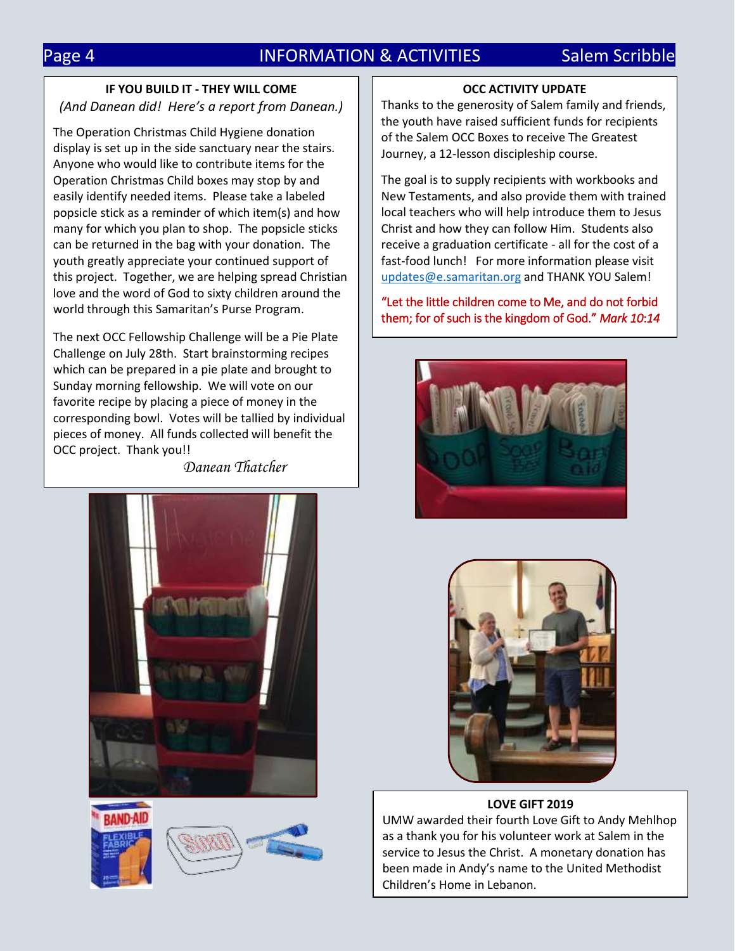# Page 4 **INFORMATION & ACTIVITIES** Salem Scribble

# **IF YOU BUILD IT - THEY WILL COME** *(And Danean did! Here's a report from Danean.)*

The Operation Christmas Child Hygiene donation display is set up in the side sanctuary near the stairs. Anyone who would like to contribute items for the Operation Christmas Child boxes may stop by and easily identify needed items. Please take a labeled popsicle stick as a reminder of which item(s) and how many for which you plan to shop. The popsicle sticks can be returned in the bag with your donation. The youth greatly appreciate your continued support of this project. Together, we are helping spread Christian love and the word of God to sixty children around the world through this Samaritan's Purse Program.

The next OCC Fellowship Challenge will be a Pie Plate Challenge on July 28th. Start brainstorming recipes which can be prepared in a pie plate and brought to Sunday morning fellowship. We will vote on our favorite recipe by placing a piece of money in the corresponding bowl. Votes will be tallied by individual pieces of money. All funds collected will benefit the OCC project. Thank you!!

*Danean Thatcher*







## **OCC ACTIVITY UPDATE**

Thanks to the generosity of Salem family and friends, the youth have raised sufficient funds for recipients of the Salem OCC Boxes to receive The Greatest Journey, a 12-lesson discipleship course.

The goal is to supply recipients with workbooks and New Testaments, and also provide them with trained local teachers who will help introduce them to Jesus Christ and how they can follow Him. Students also receive a graduation certificate - all for the cost of a fast-food lunch! For more information please visit [updates@e.samaritan.org](mailto:updates@e.samaritan.org) and THANK YOU Salem!

"Let the little children come to Me, and do not forbid them; for of such is the kingdom of God." *Mark 10*:*14*





### **LOVE GIFT 2019**

UMW awarded their fourth Love Gift to Andy Mehlhop as a thank you for his volunteer work at Salem in the service to Jesus the Christ. A monetary donation has been made in Andy's name to the United Methodist Children's Home in Lebanon.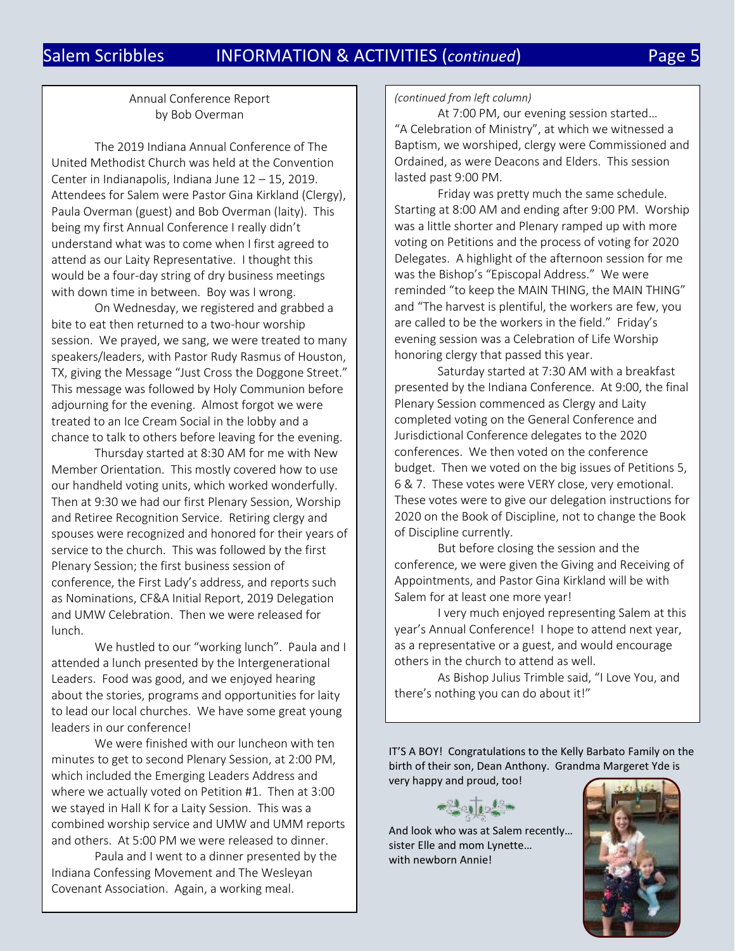# Salem Scribbles INFORMATION & ACTIVITIES (*continued*) Page 5

# Annual Conference Report by Bob Overman

The 2019 Indiana Annual Conference of The United Methodist Church was held at the Convention Center in Indianapolis, Indiana June 12 – 15, 2019. Attendees for Salem were Pastor Gina Kirkland (Clergy), Paula Overman (guest) and Bob Overman (laity). This being my first Annual Conference I really didn't understand what was to come when I first agreed to attend as our Laity Representative. I thought this would be a four-day string of dry business meetings with down time in between. Boy was I wrong.

On Wednesday, we registered and grabbed a bite to eat then returned to a two-hour worship session. We prayed, we sang, we were treated to many speakers/leaders, with Pastor Rudy Rasmus of Houston, TX, giving the Message "Just Cross the Doggone Street." This message was followed by Holy Communion before adjourning for the evening. Almost forgot we were treated to an Ice Cream Social in the lobby and a chance to talk to others before leaving for the evening.

Thursday started at 8:30 AM for me with New Member Orientation. This mostly covered how to use our handheld voting units, which worked wonderfully. Then at 9:30 we had our first Plenary Session, Worship and Retiree Recognition Service. Retiring clergy and spouses were recognized and honored for their years of service to the church. This was followed by the first Plenary Session; the first business session of conference, the First Lady's address, and reports such as Nominations, CF&A Initial Report, 2019 Delegation and UMW Celebration. Then we were released for lunch.

We hustled to our "working lunch". Paula and I attended a lunch presented by the Intergenerational Leaders. Food was good, and we enjoyed hearing about the stories, programs and opportunities for laity to lead our local churches. We have some great young leaders in our conference!

We were finished with our luncheon with ten minutes to get to second Plenary Session, at 2:00 PM, which included the Emerging Leaders Address and where we actually voted on Petition #1. Then at 3:00 we stayed in Hall K for a Laity Session. This was a combined worship service and UMW and UMM reports and others. At 5:00 PM we were released to dinner.

Paula and I went to a dinner presented by the Indiana Confessing Movement and The Wesleyan Covenant Association. Again, a working meal.

### *(continued from left column)*

At 7:00 PM, our evening session started… "A Celebration of Ministry", at which we witnessed a Baptism, we worshiped, clergy were Commissioned and Ordained, as were Deacons and Elders. This session lasted past 9:00 PM.

Friday was pretty much the same schedule. Starting at 8:00 AM and ending after 9:00 PM. Worship was a little shorter and Plenary ramped up with more voting on Petitions and the process of voting for 2020 Delegates. A highlight of the afternoon session for me was the Bishop's "Episcopal Address." We were reminded "to keep the MAIN THING, the MAIN THING" and "The harvest is plentiful, the workers are few, you are called to be the workers in the field." Friday's evening session was a Celebration of Life Worship honoring clergy that passed this year.

Saturday started at 7:30 AM with a breakfast presented by the Indiana Conference. At 9:00, the final Plenary Session commenced as Clergy and Laity completed voting on the General Conference and Jurisdictional Conference delegates to the 2020 conferences. We then voted on the conference budget. Then we voted on the big issues of Petitions 5, 6 & 7. These votes were VERY close, very emotional. These votes were to give our delegation instructions for 2020 on the Book of Discipline, not to change the Book of Discipline currently.

But before closing the session and the conference, we were given the Giving and Receiving of Appointments, and Pastor Gina Kirkland will be with Salem for at least one more year!

I very much enjoyed representing Salem at this year's Annual Conference! I hope to attend next year, as a representative or a guest, and would encourage others in the church to attend as well.

As Bishop Julius Trimble said, "I Love You, and there's nothing you can do about it!"

IT'S A BOY! Congratulations to the Kelly Barbato Family on the birth of their son, Dean Anthony. Grandma Margeret Yde is very happy and proud, too!

And look who was at Salem recently… sister Elle and mom Lynette… with newborn Annie!

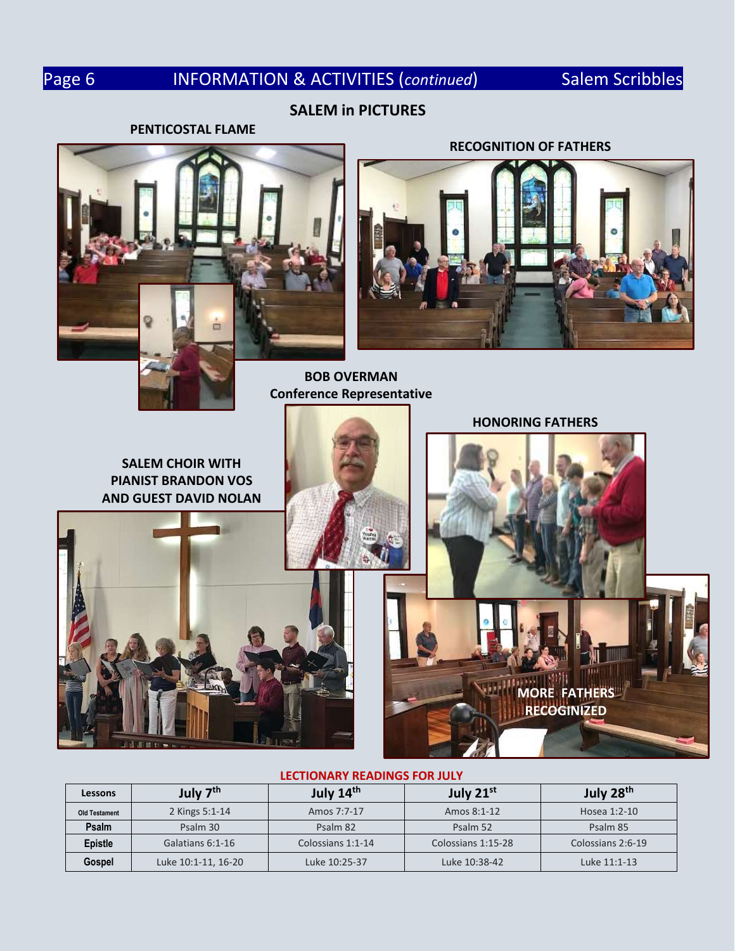# Page 6 **INFORMATION & ACTIVITIES (continued)** Salem Scribbles

# **SALEM in PICTURES**

## **PENTICOSTAL FLAME**



# **RECOGNITION OF FATHERS**



**BOB OVERMAN Conference Representative**



### **LECTIONARY READINGS FOR JULY**

| Lessons              | July 7 <sup>th</sup> | July 14 <sup>th</sup> | July 21st          | July 28 <sup>th</sup> |
|----------------------|----------------------|-----------------------|--------------------|-----------------------|
| <b>Old Testament</b> | 2 Kings 5:1-14       | Amos 7:7-17           | Amos 8:1-12        | Hosea 1:2-10          |
| Psalm                | Psalm 30             | Psalm 82              | Psalm 52           | Psalm 85              |
| <b>Epistle</b>       | Galatians 6:1-16     | Colossians 1:1-14     | Colossians 1:15-28 | Colossians 2:6-19     |
| Gospel               | Luke 10:1-11, 16-20  | Luke 10:25-37         | Luke 10:38-42      | Luke 11:1-13          |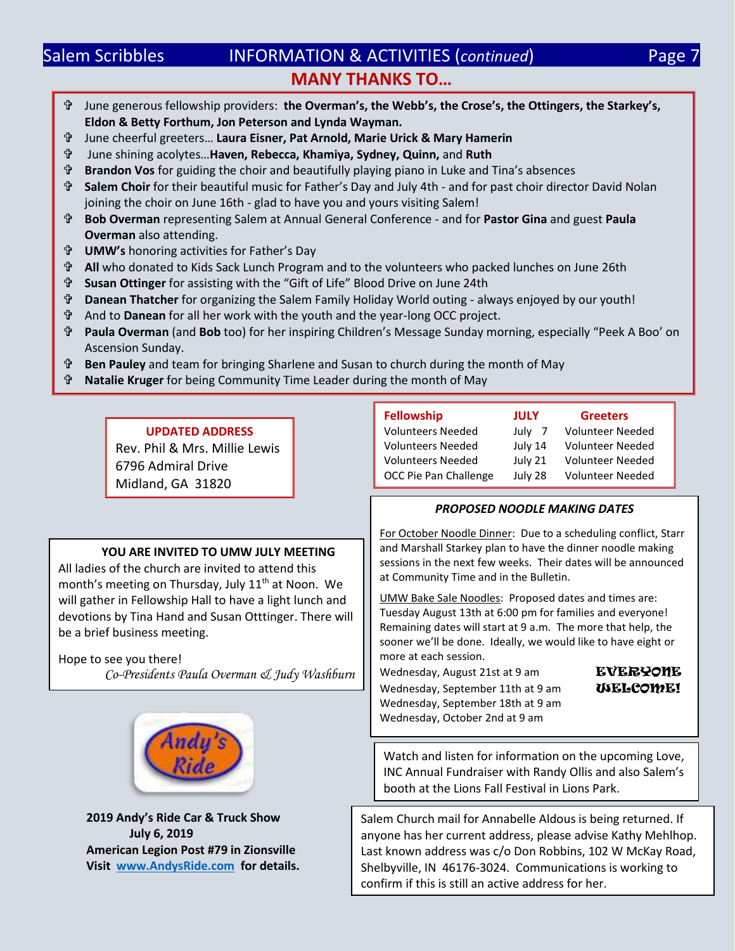# Salem Scribbles **INFORMATION & ACTIVITIES (continued)** Page 7 **MANY THANKS TO…**

- June generous fellowship providers: **the Overman's, the Webb's, the Crose's, the Ottingers, the Starkey's, Eldon & Betty Forthum, Jon Peterson and Lynda Wayman.**
- June cheerful greeters… **Laura Eisner, Pat Arnold, Marie Urick & Mary Hamerin**
- June shining acolytes…**Haven, Rebecca, Khamiya, Sydney, Quinn,** and **Ruth**
- **Brandon Vos** for guiding the choir and beautifully playing piano in Luke and Tina's absences
- **Salem Choir** for their beautiful music for Father's Day and July 4th and for past choir director David Nolan joining the choir on June 16th - glad to have you and yours visiting Salem!
- **Bob Overman** representing Salem at Annual General Conference and for **Pastor Gina** and guest **Paula Overman** also attending.
- **UMW's** honoring activities for Father's Day
- **All** who donated to Kids Sack Lunch Program and to the volunteers who packed lunches on June 26th
- **Susan Ottinger** for assisting with the "Gift of Life" Blood Drive on June 24th
- **Danean Thatcher** for organizing the Salem Family Holiday World outing always enjoyed by our youth!
- And to **Danean** for all her work with the youth and the year-long OCC project.
- **Paula Overman** (and **Bob** too) for her inspiring Children's Message Sunday morning, especially "Peek A Boo' on Ascension Sunday.
- **Ben Pauley** and team for bringing Sharlene and Susan to church during the month of May
- **Natalie Kruger** for being Community Time Leader during the month of May

Rev. Phil & Mrs. Millie Lewis 6796 Admiral Drive Midland, GA 31820

All ladies of the church are invited to attend this month's meeting on Thursday, July 11<sup>th</sup> at Noon. We will gather in Fellowship Hall to have a light lunch and devotions by Tina Hand and Susan Otttinger. There will

be a brief business meeting.

Hope to see you there!

**YOU ARE INVITED TO UMW JULY MEETING**

*Co-Presidents Paula Overman & Judy Washburn*

| <b>Fellowship</b>        | JULY        | <b>Greeters</b>         |  |
|--------------------------|-------------|-------------------------|--|
| <b>Volunteers Needed</b> | July<br>- 7 | <b>Volunteer Needed</b> |  |
| <b>Volunteers Needed</b> | July 14     | <b>Volunteer Needed</b> |  |
| <b>Volunteers Needed</b> | July 21     | <b>Volunteer Needed</b> |  |
| OCC Pie Pan Challenge    | July 28     | <b>Volunteer Needed</b> |  |

# *PROPOSED NOODLE MAKING DATES*

For October Noodle Dinner: Due to a scheduling conflict, Starr and Marshall Starkey plan to have the dinner noodle making sessions in the next few weeks. Their dates will be announced at Community Time and in the Bulletin.

UMW Bake Sale Noodles: Proposed dates and times are: Tuesday August 13th at 6:00 pm for families and everyone! Remaining dates will start at 9 a.m. The more that help, the sooner we'll be done. Ideally, we would like to have eight or more at each session.

Wednesday, August 21st at 9 am EVERYONE Wednesday, September 11th at 9 am **WELCOME!** Wednesday, September 18th at 9 am Wednesday, October 2nd at 9 am

**2019 Andy's Ride Car & Truck Show July 6, 2019 American Legion Post #79 in Zionsville Visit [www.AndysRide.com](http://www.andysride.com/) for details.** Watch and listen for information on the upcoming Love, INC Annual Fundraiser with Randy Ollis and also Salem's booth at the Lions Fall Festival in Lions Park.

Salem Church mail for Annabelle Aldous is being returned. If anyone has her current address, please advise Kathy Mehlhop. Last known address was c/o Don Robbins, 102 W McKay Road, Shelbyville, IN 46176-3024. Communications is working to confirm if this is still an active address for her.